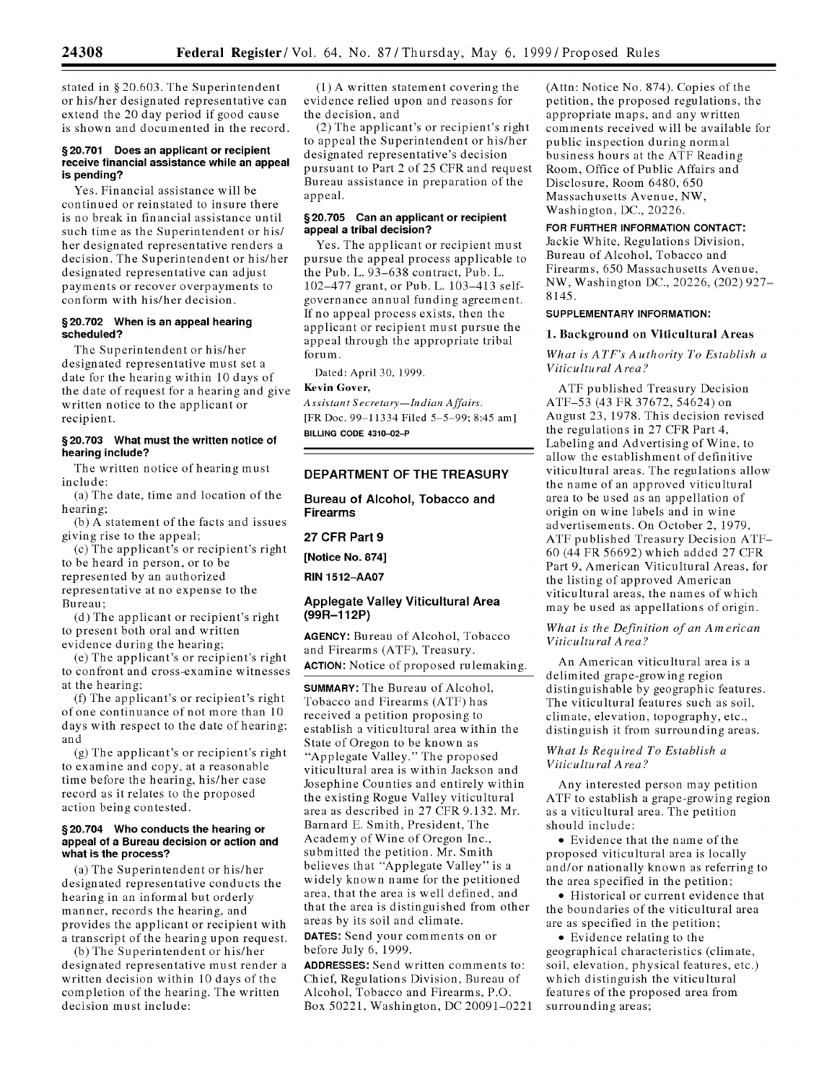stated in **§** 20.603. The Superintendent or his/her designated representative can extend the 20 day period if good cause is shown and documented in the record.

### **§20.701 Does an applicant or recipient receive financial assistance while an appeal is pending?**

Yes. Financial assistance will be continued or reinstated to insure there is no break in financial assistance until such time as the Superintendent or his/ her designated representative renders a decision. The Superintendent or his/her designated representative can adjust payments or recover overpayments to conform with his/her decision.

### **§20.702 When is an appeal hearing scheduled?**

The Superintendent or his/her designated representative must set a date for the hearing within 10 days of the date of request for a hearing and give written notice to the applicant or recipient.

## **§20.703 What must the written notice of hearing include?**

The written notice of hearing must include:

(a) The date, time and location of the hearing;

(b) A statement of the facts and issues giving rise to the appeal;

(c) The applicant's or recipient's right to be heard in person, or to be represented by an authorized

representative at no expense to the Bureau;

(d) The applicant or recipient's right to present both oral and written evidence during the hearing;

(e) The applicant's or recipient's right to confront and cross-examine witnesses at the hearing;

(f) The applicant's or recipient's right of one continuance of not more than 10 days with respect to the date of hearing; and

(g) The applicant's or recipient's right to examine and copy, at a reasonable time before the hearing, his/her case record as it relates to the proposed action being contested.

#### **§20.704 Who conducts the hearing or appeal of a Bureau decision or action and what is the process?**

(a) The Superintendent or his/her designated representative conducts the hearing in an informal but orderly manner, records the hearing, and provides the applicant or recipient with a transcript of the hearing upon request.

(b) The Superintendent or his/her designated representative must render a written decision within 10 days of the completion of the hearing. The written decision must include:

(1) A written statement covering the evidence relied upon and reasons for the decision, and

(2) The applicant's or recipient's right to appeal the Superintendent or his/her designated representative's decision pursuant to Part 2 of 25 CFR and request Bureau assistance in preparation of the appeal.

## **§20.705 Can an applicant or recipient appeal a tribal decision?**

Yes. The applicant or recipient must pursue the appeal process applicable to the Pub. L. 93-638 contract, Pub. L. 102-477 grant, or Pub. L. 103-413 selfgovernance annual funding agreement. If no appeal process exists, then the applicant or recipient must pursue the appeal through the appropriate tribal forum.

Dated: April 30, 1999.

## Kevin Gover,

*Assistant Secretary-Indian Affairs.* [FR Doc. 99-11334 Filed 5-5-99; 8:45 am] **BILLING CODE 4310-02-P**

## **DEPARTMENT OF THE TREASURY**

**Bureau of Alcohol, Tobacco and Firearms**

# **27 CFR Part 9**

**[Notice No. 874]**

**RIN 1512-AA07**

## **Applegate Valley Viticultural Area (99R-112P)**

**AGENCY:** Bureau of Alcohol, Tobacco and Firearms (ATF), Treasury. **ACTION:** Notice of proposed rulemaking.

**SUMMARY:** The Bureau of Alcohol, Tobacco and Firearms (ATF) has received a petition proposing to establish a viticultural area within the State of Oregon to be known as "Applegate Valley." The proposed viticultural area is within Jackson and Josephine Counties and entirely within the existing Rogue Valley viticultural area as described in 27 CFR 9.132. Mr. Barnard E. Smith, President, The Academy of Wine of Oregon Inc., submitted the petition. Mr. Smith believes that "Applegate Valley" is a widely known name for the petitioned area, that the area is well defined, and that the area is distinguished from other areas by its soil and climate.

**DATES:** Send your comments on or before July 6, 1999.

**ADDRESSES:** Send written comments to: Chief, Regulations Division, Bureau of Alcohol, Tobacco and Firearms, P.O. Box 50221, Washington, DC 20091-0221 (Attn: Notice No. 874). Copies of the petition, the proposed regulations, the appropriate maps, and any written comments received will be available for public inspection during normal business hours at the ATF Reading Room, Office of Public Affairs and Disclosure, Room 6480, 650 Massachusetts Avenue, NW, Washington, DC., 20226.

# FOR FURTHER INFORMATION **CONTACT:**

Jackie White, Regulations Division, Bureau of Alcohol, Tobacco and Firearms, 650 Massachusetts Avenue, NW, Washington DC., 20226, (202) 927- 8145.

#### SUPPLEMENTARY INFORMATION:

#### **1.** Background on Viticultural Areas

## *What is ATF's Authority To Establish a Viticultural Area?*

ATF published Treasury Decision ATF-53 (43 FR 37672, 54624) on August 23, 1978. This decision revised the regulations in 27 CFR Part 4, Labeling and Advertising of Wine, to allow the establishment of definitive viticultural areas. The regulations allow the name of an approved viticultural area to be used as an appellation of origin on wine labels and in wine advertisements. On October 2, 1979, ATF published Treasury Decision ATF-60 (44 FR 56692) which added 27 CFR Part 9, American Viticultural Areas, for the listing of approved American viticultural areas, the names of which may be used as appellations of origin.

## *What is the Definition of an American Viticultural Area?*

An American viticultural area is a delimited grape-growing region distinguishable by geographic features. The viticultural features such as soil, climate, elevation, topography, etc., distinguish it from surrounding areas.

## *What Is Required To Establish a Viticultural Area?*

Any interested person may petition ATF to establish a grape-growing region as a viticultural area. The petition should include:

• Evidence that the name of the proposed viticultural area is locally and/or nationally known as referring to the area specified in the petition;

• Historical or current evidence that the boundaries of the viticultural area are as specified in the petition;

• Evidence relating to the geographical characteristics (climate, soil, elevation, physical features, etc.) which distinguish the viticultural features of the proposed area from surrounding areas;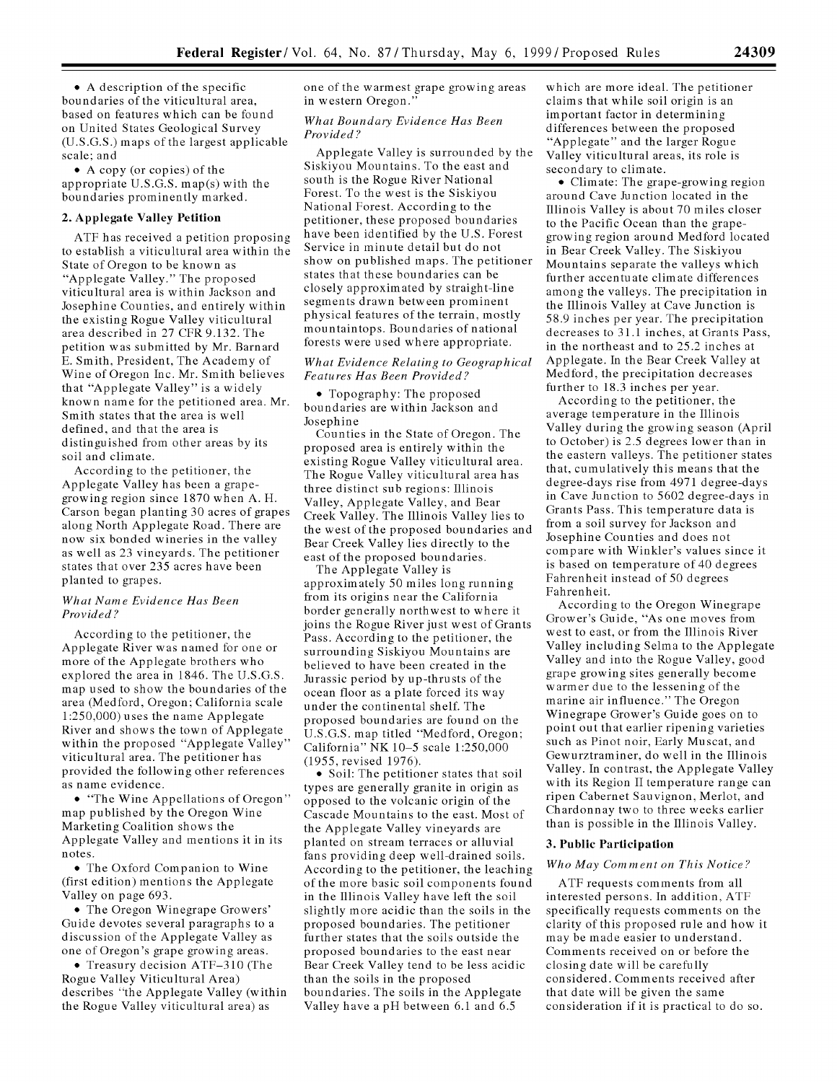• A description of the specific boundaries of the viticultural area, based on features which can be found on United States Geological Survey (U.S.G.S.) maps of the largest applicable scale; and

**<sup>0</sup>**A copy (or copies) of the appropriate U.S.G.S. map(s) with the boundaries prominently marked.

# 2. **Applegate Valley Petition**

ATF has received a petition proposing to establish a viticultural area within the State of Oregon to be known as "Applegate Valley." The proposed viticultural area is within Jackson and Josephine Counties, and entirely within the existing Rogue Valley viticultural area described in 27 CFR 9.132. The petition was submitted by Mr. Barnard E. Smith, President, The Academy of Wine of Oregon Inc. Mr. Smith believes that "Applegate Valley" is a widely known name for the petitioned area. Mr. Smith states that the area is well defined, and that the area is distinguished from other areas by its soil and climate.

According to the petitioner, the Applegate Valley has been a grapegrowing region since 1870 when A. H. Carson began planting 30 acres of grapes along North Applegate Road. There are now six bonded wineries in the valley as well as 23 vineyards. The petitioner states that over 235 acres have been planted to grapes.

#### *What Name Evidence Has Been Provided?*

According to the petitioner, the Applegate River was named for one or more of the Applegate brothers who explored the area in 1846. The U.S.G.S. map used to show the boundaries of the area (Medford, Oregon; California scale 1:250,000) uses the name Applegate River and shows the town of Applegate within the proposed "Applegate Valley" viticultural area. The petitioner has provided the following other references as name evidence.

• "The Wine Appellations of Oregon" map published by the Oregon Wine Marketing Coalition shows the Applegate Valley and mentions it in its notes.

• The Oxford Companion to Wine (first edition) mentions the Applegate Valley on page 693.

• The Oregon Winegrape Growers' Guide devotes several paragraphs to a discussion of the Applegate Valley as one of Oregon's grape growing areas.

• Treasury decision ATF-310 (The Rogue Valley Viticultural Area) describes "the Applegate Valley (within the Rogue Valley viticultural area) as

one of the warmest grape growing areas in western Oregon."

### *What Boundary Evidence Has Been Provided?*

Applegate Valley is surrounded by the Siskiyou Mountains. To the east and south is the Rogue River National Forest. To the west is the Siskiyou National Forest. According to the petitioner, these proposed boundaries have been identified by the U.S. Forest Service in minute detail but do not show on published maps. The petitioner states that these boundaries can be closely approximated by straight-line segments drawn between prominent physical features of the terrain, mostly mountaintops. Boundaries of national forests were used where appropriate.

### *What Evidence Relating to Geographical Features Has Been Provided?*

• Topography: The proposed boundaries are within Jackson and Josephine

Counties in the State of Oregon. The proposed area is entirely within the existing Rogue Valley viticultural area. The Rogue Valley viticultural area has three distinct sub regions: Illinois Valley, Applegate Valley, and Bear Creek Valley. The Illinois Valley lies to the west of the proposed boundaries and Bear Creek Valley lies directly to the east of the proposed boundaries.

The Applegate Valley is approximately 50 miles long running from its origins near the California border generally northwest to where it joins the Rogue River just west of Grants Pass. According to the petitioner, the surrounding Siskiyou Mountains are believed to have been created in the Jurassic period by up-thrusts of the ocean floor as a plate forced its way under the continental shelf. The proposed boundaries are found on the U.S.G.S. map titled "Medford, Oregon; California" NK 10-5 scale 1:250,000 (1955, revised 1976).

**<sup>9</sup>**Soil: The petitioner states that soil types are generally granite in origin as opposed to the volcanic origin of the Cascade Mountains to the east. Most of the Applegate Valley vineyards are planted on stream terraces or alluvial fans providing deep well-drained soils. According to the petitioner, the leaching of the more basic soil components found in the Illinois Valley have left the soil slightly more acidic than the soils in the proposed boundaries. The petitioner further states that the soils outside the proposed boundaries to the east near Bear Creek Valley tend to be less acidic than the soils in the proposed boundaries. The soils in the Applegate Valley have a pH between 6.1 and 6.5

which are more ideal. The petitioner claims that while soil origin is an important factor in determining differences between the proposed "Applegate" and the larger Rogue Valley viticultural areas, its role is secondary to climate.

• Climate: The grape-growing region around Cave Junction located in the Illinois Valley is about 70 miles closer to the Pacific Ocean than the grapegrowing region around Medford located in Bear Creek Valley. The Siskiyou Mountains separate the valleys which further accentuate climate differences among the valleys. The precipitation in the Illinois Valley at Cave Junction is 58.9 inches per year. The precipitation decreases to 31.1 inches, at Grants Pass, in the northeast and to 25.2 inches at Applegate. In the Bear Creek Valley at Medford, the precipitation decreases further to 18.3 inches per year.

According to the petitioner, the average temperature in the Illinois Valley during the growing season (April to October) is 2.5 degrees lower than in the eastern valleys. The petitioner states that, cumulatively this means that the degree-days rise from 4971 degree-days in Cave Junction to 5602 degree-days in Grants Pass. This temperature data is from a soil survey for Jackson and Josephine Counties and does not compare with Winkler's values since it is based on temperature of 40 degrees Fahrenheit instead of 50 degrees Fahrenheit.

According to the Oregon Winegrape Grower's Guide, "As one moves from west to east, or from the Illinois River Valley including Selma to the Applegate Valley and into the Rogue Valley, good grape growing sites generally become warmer due to the lessening of the marine air influence." The Oregon Winegrape Grower's Guide goes on to point out that earlier ripening varieties such as Pinot noir, Early Muscat, and Gewurztraminer, do well in the Illinois Valley. In contrast, the Applegate Valley with its Region II temperature range can ripen Cabernet Sauvignon, Merlot, and Chardonnay two to three weeks earlier than is possible in the Illinois Valley.

#### **3. Public Participation**

#### *Who May Comment on This Notice?*

ATF requests comments from all interested persons. In addition, ATF specifically requests comments on the clarity of this proposed rule and how it may be made easier to understand. Comments received on or before the closing date will be carefully considered. Comments received after that date will be given the same consideration if it is practical to do so.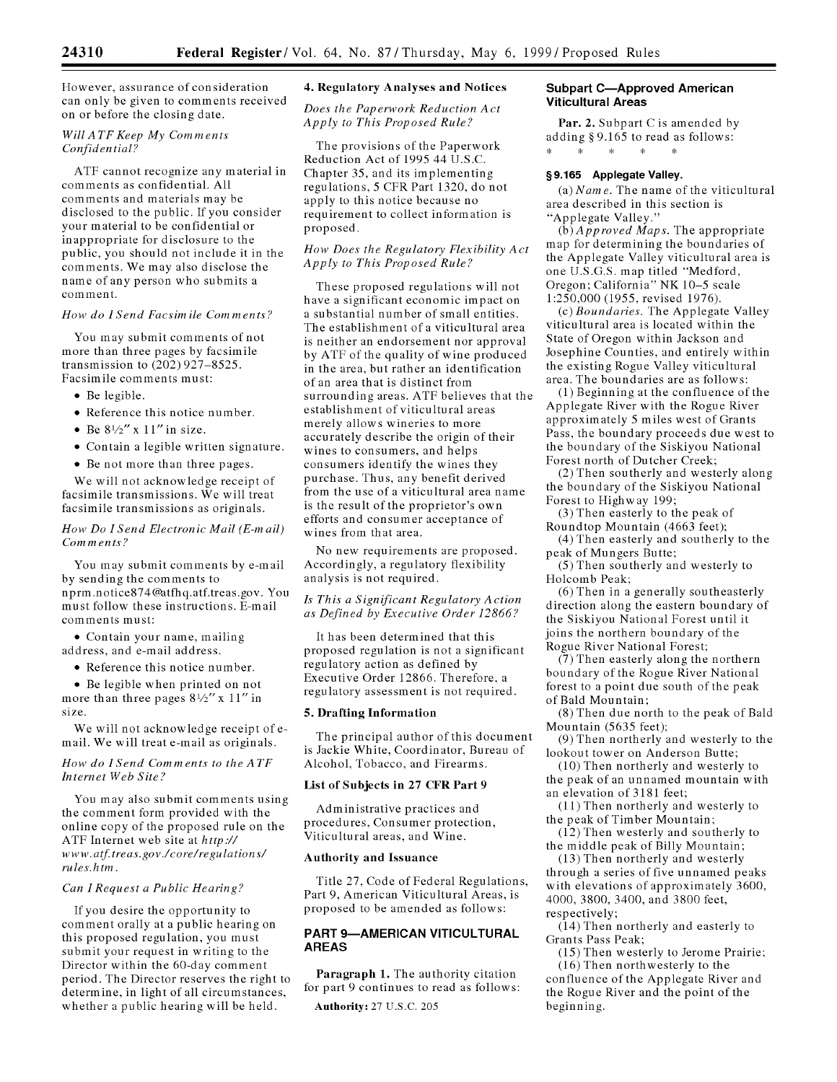However, assurance of consideration can only be given to comments received on or before the closing date.

## *WillATF Keep My Comments Confidential?*

ATF cannot recognize any material in comments as confidential. All comments and materials may be disclosed to the public. If you consider your material to be confidential or inappropriate for disclosure to the public, you should not include it in the comments. We may also disclose the name of any person who submits a comment.

#### *How do ISend Facsimile Comments?*

You may submit comments of not more than three pages by facsimile transmission to (202) 927-8525. Facsimile comments must:

- Be legible.
- Reference this notice number.
- Be  $8\frac{1}{2}$  x  $11$  in size.
- Contain a legible written signature.
- Be not more than three pages.

We will not acknowledge receipt of facsimile transmissions. We will treat facsimile transmissions as originals.

## *How Do ISend Electronic* Mail (E-mail) Comments?

You may submit comments by e-mail by sending the comments to nprm.notice874@atfhq.atf.treas.gov. You must follow these instructions. E-mail comments must:

\* Contain your name, mailing address, and e-mail address.

• Reference this notice number.

• Be legible when printed on not more than three pages  $8\frac{1}{2}$ " x 11" in size.

We will not acknowledge receipt of email. We will treat e-mail as originals.

## *How do ISend Comments to the ATF Internet Web Site?*

You may also submit comments using the comment form provided with the online copy of the proposed rule on the ATF Internet web site at *http.//* www.atf.treas.gov./core/regulations/ *rules.htm.*

#### *Can I Request a Public Hearing?*

If you desire the opportunity to comment orally at a public hearing on this proposed regulation, you must submit your request in writing to the Director within the 60-day comment period. The Director reserves the right to determine, in light of all circumstances, whether a public hearing will be held.

## 4. Regulatory Analyses and Notices

*Does the Paperwork Reduction Act Apply to This Proposed Rule?*

The provisions of the Paperwork Reduction Act of 1995 44 U.S.C. Chapter 35, and its implementing regulations, 5 CFR Part 1320, do not apply to this notice because no requirement to collect information is proposed.

### *How Does the Regulatory Flexibility Act Apply to This Proposed Rule?*

These proposed regulations will not have a significant economic impact on a substantial number of small entities. The establishment of a viticultural area is neither an endorsement nor approval by ATF of the quality of wine produced in the area, but rather an identification of an area that is distinct from surrounding areas. ATF believes that the establishment of viticultural areas merely allows wineries to more accurately describe the origin of their wines to consumers, and helps consumers identify the wines they purchase. Thus, any benefit derived from the use of a viticultural area name is the result of the proprietor's own efforts and consumer acceptance of wines from that area.

No new requirements are proposed. Accordingly, a regulatory flexibility analysis is not required.

### *Is This a Significant Regulatory Action as Defined by Executive Order 12866?*

It has been determined that this proposed regulation is not a significant regulatory action as defined by Executive Order 12866. Therefore, a regulatory assessment is not required.

#### **5.** Drafting Information

The principal author of this document is Jackie White, Coordinator, Bureau of Alcohol, Tobacco, and Firearms.

### List of Subjects in **27** CFR Part **9**

Administrative practices and procedures, Consumer protection, Viticultural areas, and Wine.

#### Authority and Issuance

Title **27,** Code of Federal Regulations, Part 9, American Viticultural Areas, is proposed to be amended as follows:

# **PART 9-AMERICAN VITICULTURAL AREAS**

Paragraph **1.** The authority citation for part 9 continues to read as follows:

# Authority: 27 U.S.C. 205

## **Subpart C-Approved American Viticultural Areas**

Par. 2. Subpart C is amended by adding **§** 9.165 to read as follows:  $\ddot{\psi}$  $\mathcal{H}$  $\sim$   $\sim$  $\sim 10^{-11}$ 

# **§9.165 Applegate Valley.**

*(a) Name.* The name of the viticultural area described in this section is "Applegate Valley."

*(b) Approved Maps.* The appropriate map for determining the boundaries of the Applegate Valley viticultural area is one U.S.G.S. map titled "Medford, Oregon; California" NK 10-5 scale 1:250,000 (1955, revised 1976).

(c) *Boundaries.* The Applegate Valley viticultural area is located within the State of Oregon within Jackson and Josephine Counties, and entirely within the existing Rogue Valley viticultural area. The boundaries are as follows:

(1) Beginning at the confluence of the Applegate River with the Rogue River approximately 5 miles west of Grants Pass, the boundary proceeds due west to the boundary of the Siskiyou National Forest north of Dutcher Creek;

(2) Then southerly and westerly along the boundary of the Siskiyou National Forest to Highway 199;

(3) Then easterly to the peak of Roundtop Mountain (4663 feet);

(4) Then easterly and southerly to the peak of Mungers Butte;

**(5)** Then southerly and westerly to Holcomb Peak;

(6) Then in a generally southeasterly direction along the eastern boundary of the Siskiyou National Forest until it joins the northern boundary of the Rogue River National Forest;

(7) Then easterly along the northern boundary of the Rogue River National forest to a point due south of the peak of Bald Mountain;

(8) Then due north to the peak of Bald Mountain (5635 feet);

(9) Then northerly and westerly to the lookout tower on Anderson Butte;

(10) Then northerly and westerly to the peak of an unnamed mountain with an elevation of 3181 feet;

(11) Then northerly and westerly to the peak of Timber Mountain;

(12) Then westerly and southerly to the middle peak of Billy Mountain;

(13) Then northerly and westerly through a series of five unnamed peaks with elevations of approximately 3600, 4000, 3800, 3400, and 3800 feet, respectively;

(14) Then northerly and easterly to Grants Pass Peak;

(15) Then westerly to Jerome Prairie; (16) Then northwesterly to the confluence of the Applegate River and the Rogue River and the point of the beginning.